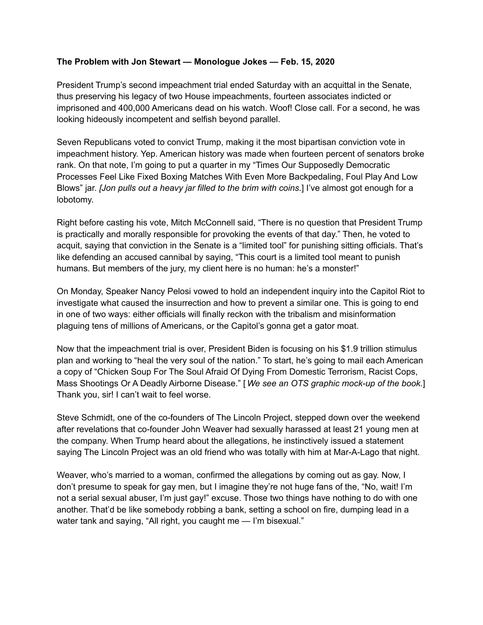## **The Problem with Jon Stewart — Monologue Jokes — Feb. 15, 2020**

President Trump's second impeachment trial ended Saturday with an acquittal in the Senate, thus preserving his legacy of two House impeachments, fourteen associates indicted or imprisoned and 400,000 Americans dead on his watch. Woof! Close call. For a second, he was looking hideously incompetent and selfish beyond parallel.

Seven Republicans voted to convict Trump, making it the most bipartisan conviction vote in impeachment history. Yep. American history was made when fourteen percent of senators broke rank. On that note, I'm going to put a quarter in my "Times Our Supposedly Democratic Processes Feel Like Fixed Boxing Matches With Even More Backpedaling, Foul Play And Low Blows" jar. *[Jon pulls out a heavy jar filled to the brim with coins.*] I've almost got enough for a lobotomy.

Right before casting his vote, Mitch McConnell said, "There is no question that President Trump is practically and morally responsible for provoking the events of that day." Then, he voted to acquit, saying that conviction in the Senate is a "limited tool" for punishing sitting officials. That's like defending an accused cannibal by saying, "This court is a limited tool meant to punish humans. But members of the jury, my client here is no human: he's a monster!"

On Monday, Speaker Nancy Pelosi vowed to hold an independent inquiry into the Capitol Riot to investigate what caused the insurrection and how to prevent a similar one. This is going to end in one of two ways: either officials will finally reckon with the tribalism and misinformation plaguing tens of millions of Americans, or the Capitol's gonna get a gator moat.

Now that the impeachment trial is over, President Biden is focusing on his \$1.9 trillion stimulus plan and working to "heal the very soul of the nation." To start, he's going to mail each American a copy of "Chicken Soup For The Soul Afraid Of Dying From Domestic Terrorism, Racist Cops, Mass Shootings Or A Deadly Airborne Disease." [ *We see an OTS graphic mock-up of the book.*] Thank you, sir! I can't wait to feel worse.

Steve Schmidt, one of the co-founders of The Lincoln Project, stepped down over the weekend after revelations that co-founder John Weaver had sexually harassed at least 21 young men at the company. When Trump heard about the allegations, he instinctively issued a statement saying The Lincoln Project was an old friend who was totally with him at Mar-A-Lago that night.

Weaver, who's married to a woman, confirmed the allegations by coming out as gay. Now, I don't presume to speak for gay men, but I imagine they're not huge fans of the, "No, wait! I'm not a serial sexual abuser, I'm just gay!" excuse. Those two things have nothing to do with one another. That'd be like somebody robbing a bank, setting a school on fire, dumping lead in a water tank and saying, "All right, you caught me - I'm bisexual."